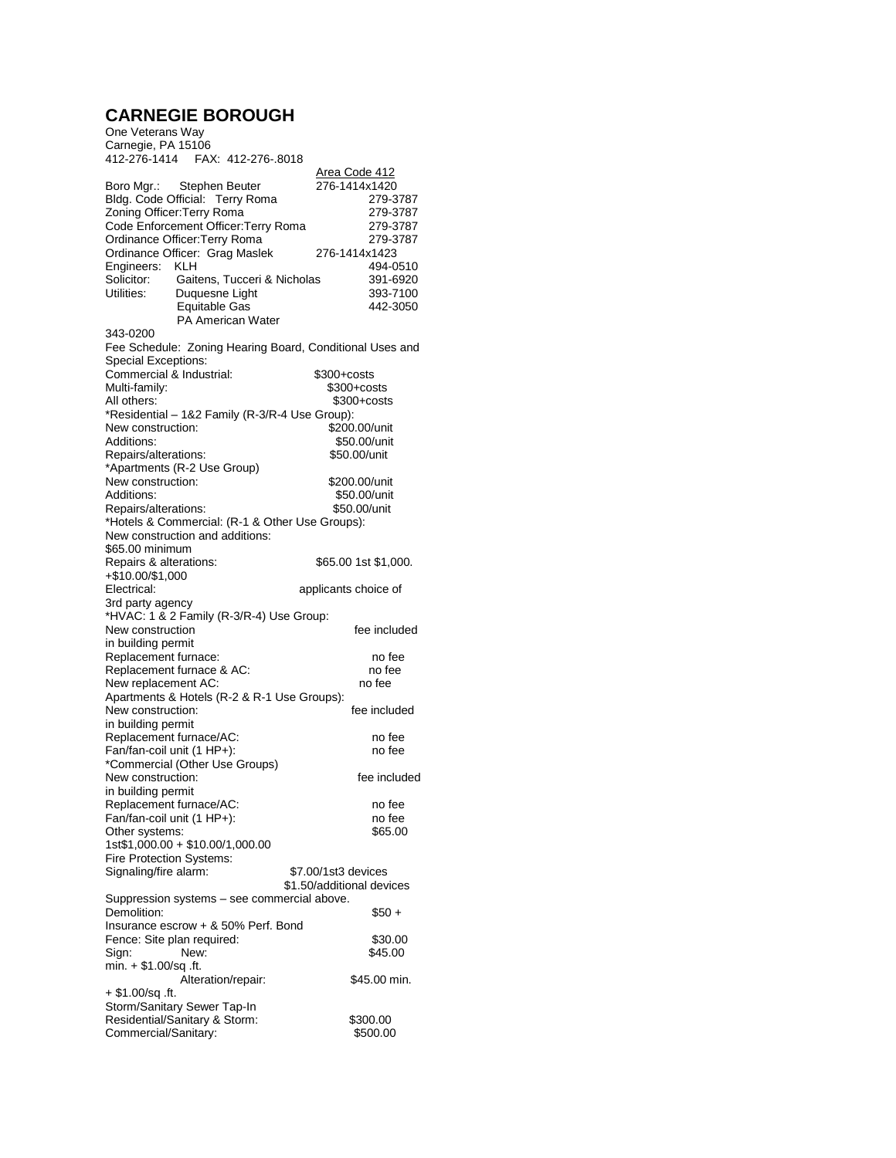## **CARNEGIE BOROUGH** One Veterans Way

| <u>Area Code 412</u><br>276-1414x1420<br>Boro Mgr.: Stephen Beuter<br>Bldg. Code Official: Terry Roma<br>279-3787<br>Zoning Officer: Terry Roma<br>279-3787<br>Code Enforcement Officer: Terry Roma<br>279-3787<br>Ordinance Officer: Terry Roma<br>279-3787<br>Ordinance Officer: Grag Maslek<br>276-1414x1423<br>Engineers: KLH<br>494-0510<br>Solicitor:<br>Gaitens, Tucceri & Nicholas<br>391-6920<br>Utilities:<br>Duquesne Light<br>393-7100<br><b>Equitable Gas</b><br>442-3050<br><b>PA American Water</b><br>343-0200<br>Fee Schedule: Zoning Hearing Board, Conditional Uses and<br><b>Special Exceptions:</b><br>Commercial & Industrial:<br>\$300+costs<br>Multi-family:<br>$$300 + \text{costs}$<br>All others:<br>\$300+costs<br>*Residential - 1&2 Family (R-3/R-4 Use Group):<br>New construction:<br>\$200.00/unit<br>Additions:<br>\$50.00/unit |  |  |
|-------------------------------------------------------------------------------------------------------------------------------------------------------------------------------------------------------------------------------------------------------------------------------------------------------------------------------------------------------------------------------------------------------------------------------------------------------------------------------------------------------------------------------------------------------------------------------------------------------------------------------------------------------------------------------------------------------------------------------------------------------------------------------------------------------------------------------------------------------------------|--|--|
|                                                                                                                                                                                                                                                                                                                                                                                                                                                                                                                                                                                                                                                                                                                                                                                                                                                                   |  |  |
|                                                                                                                                                                                                                                                                                                                                                                                                                                                                                                                                                                                                                                                                                                                                                                                                                                                                   |  |  |
|                                                                                                                                                                                                                                                                                                                                                                                                                                                                                                                                                                                                                                                                                                                                                                                                                                                                   |  |  |
|                                                                                                                                                                                                                                                                                                                                                                                                                                                                                                                                                                                                                                                                                                                                                                                                                                                                   |  |  |
|                                                                                                                                                                                                                                                                                                                                                                                                                                                                                                                                                                                                                                                                                                                                                                                                                                                                   |  |  |
|                                                                                                                                                                                                                                                                                                                                                                                                                                                                                                                                                                                                                                                                                                                                                                                                                                                                   |  |  |
|                                                                                                                                                                                                                                                                                                                                                                                                                                                                                                                                                                                                                                                                                                                                                                                                                                                                   |  |  |
|                                                                                                                                                                                                                                                                                                                                                                                                                                                                                                                                                                                                                                                                                                                                                                                                                                                                   |  |  |
| Repairs/alterations:<br>\$50.00/unit<br>*Apartments (R-2 Use Group)                                                                                                                                                                                                                                                                                                                                                                                                                                                                                                                                                                                                                                                                                                                                                                                               |  |  |
| New construction:<br>\$200.00/unit<br>Additions:<br>\$50.00/unit<br>\$50.00/unit<br>Repairs/alterations:                                                                                                                                                                                                                                                                                                                                                                                                                                                                                                                                                                                                                                                                                                                                                          |  |  |
| *Hotels & Commercial: (R-1 & Other Use Groups):<br>New construction and additions:                                                                                                                                                                                                                                                                                                                                                                                                                                                                                                                                                                                                                                                                                                                                                                                |  |  |
| \$65.00 minimum<br>Repairs & alterations:<br>\$65.00 1st \$1,000.<br>+\$10.00/\$1,000                                                                                                                                                                                                                                                                                                                                                                                                                                                                                                                                                                                                                                                                                                                                                                             |  |  |
| Electrical:<br>applicants choice of<br>3rd party agency                                                                                                                                                                                                                                                                                                                                                                                                                                                                                                                                                                                                                                                                                                                                                                                                           |  |  |
| *HVAC: 1 & 2 Family (R-3/R-4) Use Group:                                                                                                                                                                                                                                                                                                                                                                                                                                                                                                                                                                                                                                                                                                                                                                                                                          |  |  |
| New construction<br>fee included<br>in building permit                                                                                                                                                                                                                                                                                                                                                                                                                                                                                                                                                                                                                                                                                                                                                                                                            |  |  |
| Replacement furnace:<br>no fee<br>no fee                                                                                                                                                                                                                                                                                                                                                                                                                                                                                                                                                                                                                                                                                                                                                                                                                          |  |  |
| Replacement furnace & AC:<br>New replacement AC:<br>no fee                                                                                                                                                                                                                                                                                                                                                                                                                                                                                                                                                                                                                                                                                                                                                                                                        |  |  |
| Apartments & Hotels (R-2 & R-1 Use Groups):<br>New construction:<br>fee included<br>in building permit                                                                                                                                                                                                                                                                                                                                                                                                                                                                                                                                                                                                                                                                                                                                                            |  |  |
| Replacement furnace/AC:<br>no fee<br>Fan/fan-coil unit (1 HP+):<br>no fee                                                                                                                                                                                                                                                                                                                                                                                                                                                                                                                                                                                                                                                                                                                                                                                         |  |  |
| *Commercial (Other Use Groups)<br>New construction:<br>fee included<br>in building permit                                                                                                                                                                                                                                                                                                                                                                                                                                                                                                                                                                                                                                                                                                                                                                         |  |  |
| Replacement furnace/AC:<br>no fee<br>Fan/fan-coil unit (1 HP+):<br>no fee                                                                                                                                                                                                                                                                                                                                                                                                                                                                                                                                                                                                                                                                                                                                                                                         |  |  |
| Other systems:<br>\$65.00<br>1st\$1,000.00 + \$10.00/1,000.00                                                                                                                                                                                                                                                                                                                                                                                                                                                                                                                                                                                                                                                                                                                                                                                                     |  |  |
| Fire Protection Systems:<br>Signaling/fire alarm:<br>\$7.00/1st3 devices                                                                                                                                                                                                                                                                                                                                                                                                                                                                                                                                                                                                                                                                                                                                                                                          |  |  |
| \$1.50/additional devices<br>Suppression systems - see commercial above.                                                                                                                                                                                                                                                                                                                                                                                                                                                                                                                                                                                                                                                                                                                                                                                          |  |  |
| Demolition:<br>\$50 +<br>Insurance escrow + & 50% Perf. Bond                                                                                                                                                                                                                                                                                                                                                                                                                                                                                                                                                                                                                                                                                                                                                                                                      |  |  |
| Fence: Site plan required:<br>\$30.00<br>Sign:<br>New:<br>\$45.00                                                                                                                                                                                                                                                                                                                                                                                                                                                                                                                                                                                                                                                                                                                                                                                                 |  |  |
| $min. + $1.00/sq$ .ft.<br>Alteration/repair:<br>\$45.00 min.<br>$+$ \$1.00/sq .ft.                                                                                                                                                                                                                                                                                                                                                                                                                                                                                                                                                                                                                                                                                                                                                                                |  |  |
| Storm/Sanitary Sewer Tap-In<br>Residential/Sanitary & Storm:<br>\$300.00<br>Commercial/Sanitary:<br>\$500.00                                                                                                                                                                                                                                                                                                                                                                                                                                                                                                                                                                                                                                                                                                                                                      |  |  |